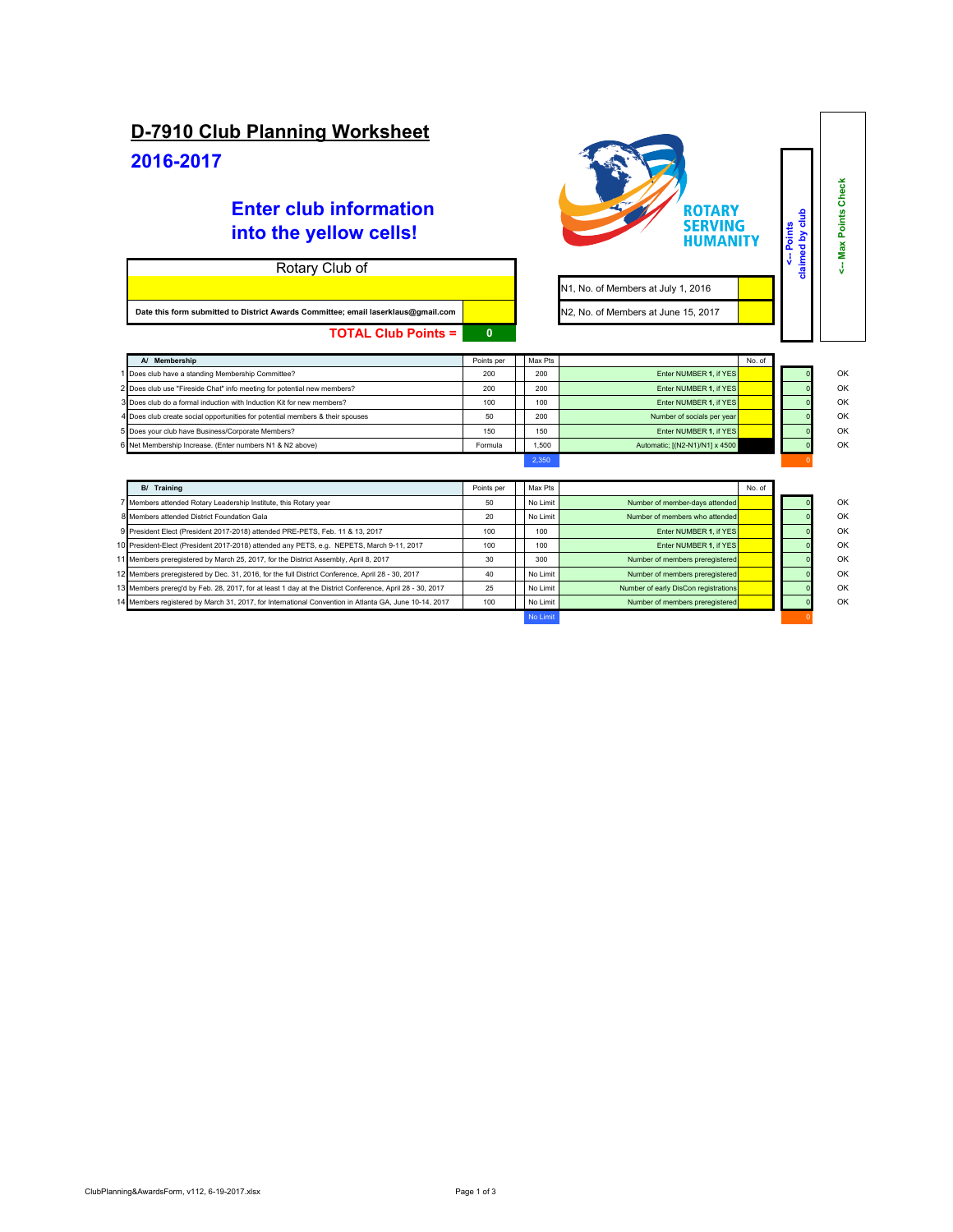## **D-7910 Club Planning Worksheet**

## **2016-2017**

## **Enter club information into the yellow cells!**

| Rotary Club of                                                                    |  |  |  |  |  |  |
|-----------------------------------------------------------------------------------|--|--|--|--|--|--|
|                                                                                   |  |  |  |  |  |  |
| Date this form submitted to District Awards Committee; email laserklaus@gmail.com |  |  |  |  |  |  |
| <b>TOTAL Club Points =</b>                                                        |  |  |  |  |  |  |



**<-- Max Points Check**

<-- Max Points Check

**<-- Points claimed by club**

<-- Points<br>claimed by club

N1, No. of Members at July 1, 2016 **Jate 15, 2017**<br> **Date is designed to District Absolute** 

| A/ Membership                                                                 | Points per | Max Pts |                                | No. of |    |
|-------------------------------------------------------------------------------|------------|---------|--------------------------------|--------|----|
| Does club have a standing Membership Committee?                               | 200        | 200     | Enter NUMBER 1. if YES         |        | OK |
| 2 Does club use "Fireside Chat" info meeting for potential new members?       | 200        | 200     | Enter NUMBER 1. if YES         |        | OK |
| 3 Does club do a formal induction with Induction Kit for new members?         | 100        | 100     | Enter NUMBER 1. if YES         |        | OK |
| 4 Does club create social opportunities for potential members & their spouses | 50         | 200     | Number of socials per year     |        | OK |
| 5 Does your club have Business/Corporate Members?                             | 150        | 150     | Enter NUMBER 1. if YES         |        | OK |
| 6 Net Membership Increase. (Enter numbers N1 & N2 above)                      | Formula    | 1.500   | Automatic; [(N2-N1)/N1] x 4500 |        | OK |
|                                                                               |            | 2.350   |                                |        |    |

| <b>B/ Training</b>                                                                                       | Points per | Max Pts  |                                      | No. of |    |
|----------------------------------------------------------------------------------------------------------|------------|----------|--------------------------------------|--------|----|
| 7 Members attended Rotary Leadership Institute, this Rotary year                                         | 50         | No Limit | Number of member-days attended       |        | OK |
| 8 Members attended District Foundation Gala                                                              | 20         | No Limit | Number of members who attended       |        | OK |
| 9 President Elect (President 2017-2018) attended PRE-PETS, Feb. 11 & 13, 2017                            | 100        | 100      | Enter NUMBER 1. if YES               |        | OK |
| 10 President-Elect (President 2017-2018) attended any PETS, e.g. NEPETS, March 9-11, 2017                | 100        | 100      | Enter NUMBER 1. if YES               |        | OK |
| 11 Members preregistered by March 25, 2017, for the District Assembly, April 8, 2017                     | 30         | 300      | Number of members preregistered      |        | OK |
| 12 Members preregistered by Dec. 31, 2016, for the full District Conference, April 28 - 30, 2017         | 40         | No Limit | Number of members preregistered      |        | OK |
| 13 Members prereg'd by Feb. 28, 2017, for at least 1 day at the District Conference, April 28 - 30, 2017 | 25         | No Limit | Number of early DisCon registrations |        | OK |
| 14 Members registered by March 31, 2017, for International Convention in Atlanta GA, June 10-14, 2017    | 100        | No Limit | Number of members preregistered      |        | OK |
|                                                                                                          |            |          |                                      |        |    |

 $\blacksquare$  No Limit  $\blacksquare$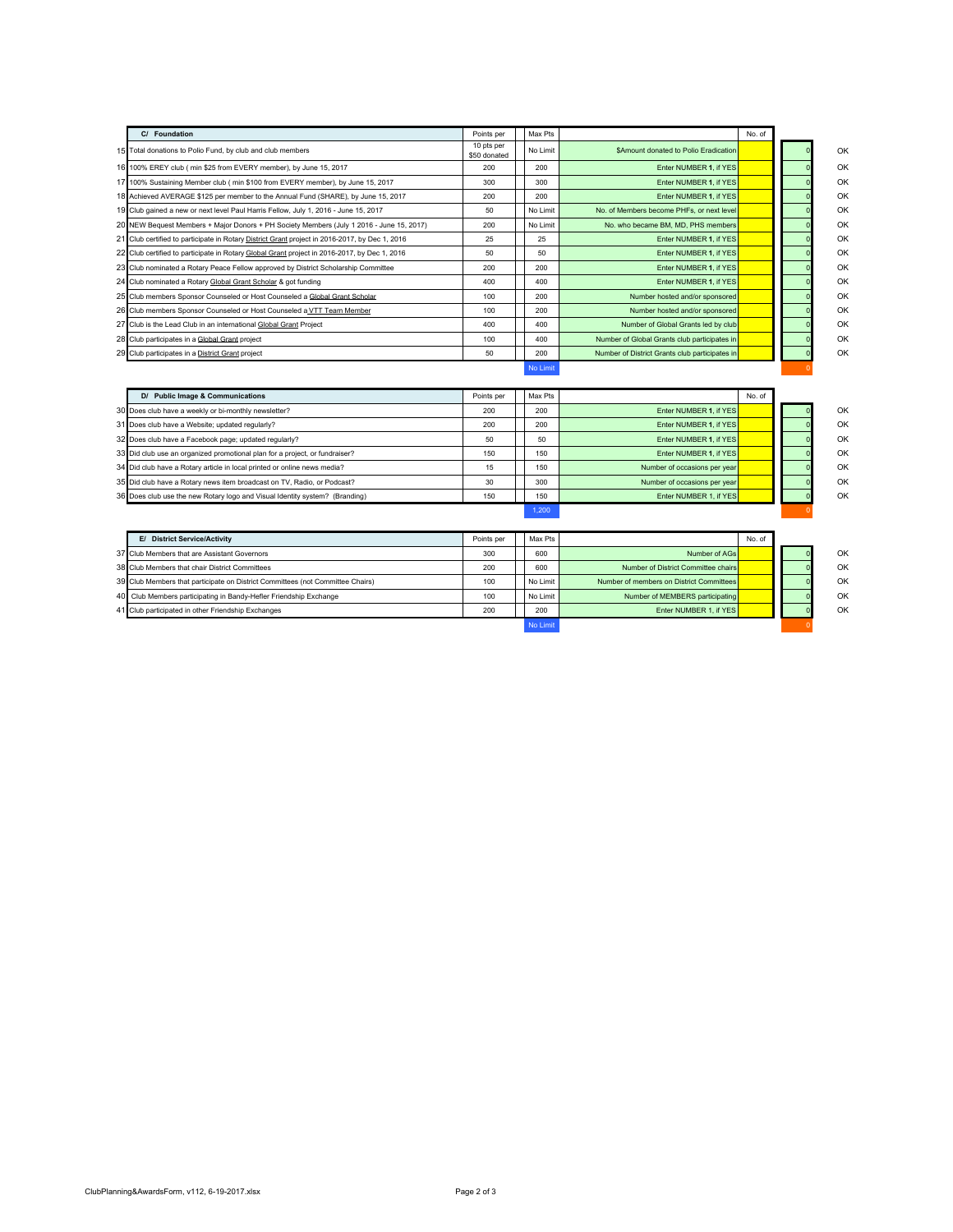| C/ Foundation                                                                                     | Points per                 | Max Pts  |                                                | No. of |  |
|---------------------------------------------------------------------------------------------------|----------------------------|----------|------------------------------------------------|--------|--|
| Total donations to Polio Fund, by club and club members<br>15                                     | 10 pts per<br>\$50 donated | No Limit | <b>SAmount donated to Polio Eradication</b>    |        |  |
| 100% EREY club ( min \$25 from EVERY member), by June 15, 2017<br>16                              | 200                        | 200      | Enter NUMBER 1. if YES                         |        |  |
| 100% Sustaining Member club ( min \$100 from EVERY member), by June 15, 2017<br>17                | 300                        | 300      | Enter NUMBER 1. if YES                         |        |  |
| Achieved AVERAGE \$125 per member to the Annual Fund (SHARE), by June 15, 2017                    | 200                        | 200      | Enter NUMBER 1. if YES                         |        |  |
| 19 Club gained a new or next level Paul Harris Fellow, July 1, 2016 - June 15, 2017               | 50                         | No Limit | No. of Members become PHFs, or next level      |        |  |
| 20<br>NEW Bequest Members + Major Donors + PH Society Members (July 1 2016 - June 15, 2017)       | 200                        | No Limit | No, who became BM, MD, PHS members             |        |  |
| 21<br>Club certified to participate in Rotary District Grant project in 2016-2017, by Dec 1, 2016 | 25                         | 25       | Enter NUMBER 1. if YES                         |        |  |
| 22 Club certified to participate in Rotary Global Grant project in 2016-2017, by Dec 1, 2016      | 50                         | 50       | Enter NUMBER 1. if YES                         |        |  |
| 23<br>Club nominated a Rotary Peace Fellow approved by District Scholarship Committee             | 200                        | 200      | Enter NUMBER 1. if YES                         |        |  |
| 24<br>Club nominated a Rotary Global Grant Scholar & got funding                                  | 400                        | 400      | Enter NUMBER 1. if YES                         |        |  |
| 25 Club members Sponsor Counseled or Host Counseled a Global Grant Scholar                        | 100                        | 200      | Number hosted and/or sponsored                 |        |  |
| 26 Club members Sponsor Counseled or Host Counseled a VTT Team Member                             | 100                        | 200      | Number hosted and/or sponsored                 |        |  |
| 27<br>Club is the Lead Club in an international Global Grant Project                              | 400                        | 400      | Number of Global Grants led by club            |        |  |
| 28<br>Club participates in a Global Grant project                                                 | 100                        | 400      | Number of Global Grants club participates in   |        |  |
| 29 Club participates in a District Grant project                                                  | 50                         | 200      | Number of District Grants club participates in |        |  |
|                                                                                                   |                            | No Limit |                                                |        |  |
| D/ Public Image & Communications                                                                  | Points per                 | Max Pts  |                                                | No. of |  |
| Does club have a weekly or bi-monthly newsletter?                                                 | 200                        | 200      | Enter NUMBER 1. if YES                         |        |  |
| 31<br>Does club have a Website; updated regularly?                                                | 200                        | 200      | Enter NUMBER 1, if YES                         |        |  |
| 32<br>Does club have a Facebook page; updated regularly?                                          | 50                         | 50       | Enter NUMBER 1. if YES                         |        |  |
| 33<br>Did club use an organized promotional plan for a project, or fundraiser?                    | 150                        | 150      | Enter NUMBER 1. if YES                         |        |  |
| 34<br>Did club have a Rotary article in local printed or online news media?                       | 15                         | 150      | Number of occasions per year                   |        |  |
| 35<br>Did club have a Rotary news item broadcast on TV, Radio, or Podcast?                        | 30                         | 300      | Number of occasions per year                   |        |  |
| Does club use the new Rotary logo and Visual Identity system? (Branding)<br>36                    | 150                        | 150      | Enter NUMBER 1. if YES                         |        |  |
|                                                                                                   |                            | 1.200    |                                                |        |  |

| E/ District Service/Activity                                                   | Points per | Max Pts  |                                          | No. of |  |    |
|--------------------------------------------------------------------------------|------------|----------|------------------------------------------|--------|--|----|
| 37 Club Members that are Assistant Governors                                   | 300        | 600      | Number of AGs                            |        |  | OK |
| 38 Club Members that chair District Committees                                 | 200        | 600      | Number of District Committee chairs      |        |  | OK |
| 39 Club Members that participate on District Committees (not Committee Chairs) | 100        | No Limit | Number of members on District Committees |        |  | OK |
| 40 Club Members participating in Bandy-Hefler Friendship Exchange              | 100        | No Limit | Number of MEMBERS participating          |        |  | OK |
| 41 Club participated in other Friendship Exchanges                             | 200        | 200      | Enter NUMBER 1, if YES                   |        |  | OK |
|                                                                                |            | No Limit |                                          |        |  |    |